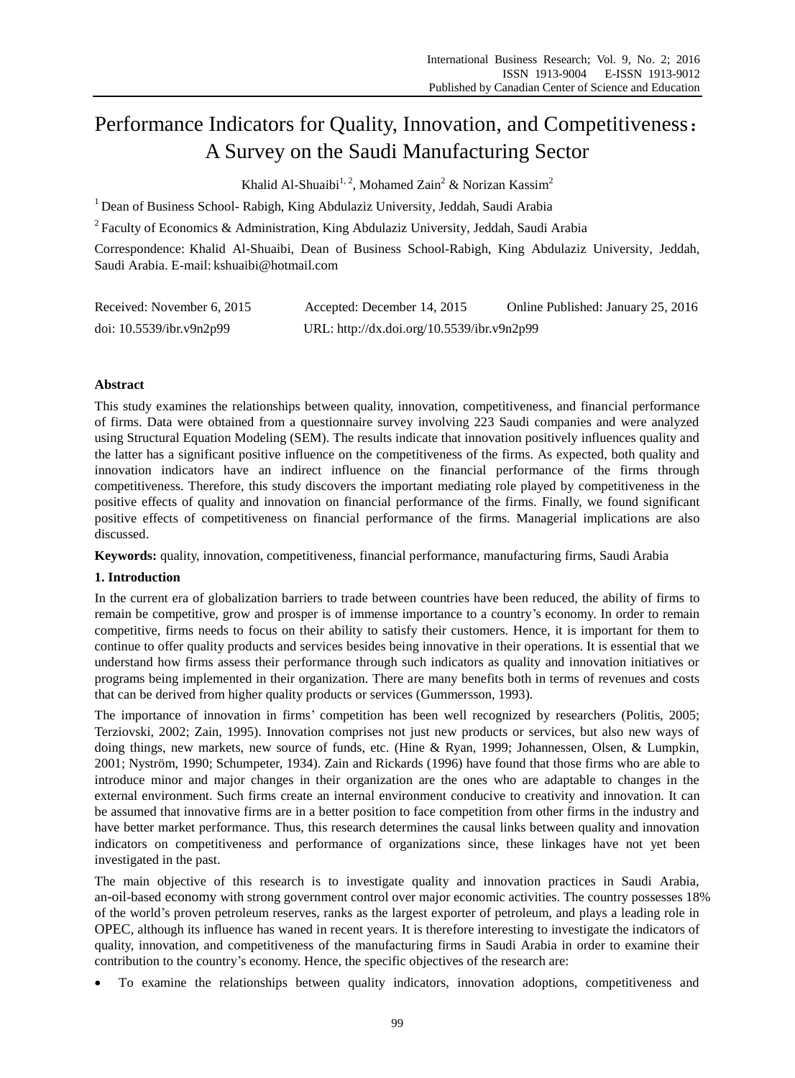# Performance Indicators for Quality, Innovation, and Competitiveness: A Survey on the Saudi Manufacturing Sector

Khalid Al-Shuaibi<sup>1, 2</sup>, Mohamed Zain<sup>2</sup> & Norizan Kassim<sup>2</sup>

<sup>1</sup> Dean of Business School- Rabigh, King Abdulaziz University, Jeddah, Saudi Arabia

<sup>2</sup> Faculty of Economics & Administration, King Abdulaziz University, Jeddah, Saudi Arabia

Correspondence: Khalid Al-Shuaibi, Dean of Business School-Rabigh, King Abdulaziz University, Jeddah, Saudi Arabia. E-mail: kshuaibi@hotmail.com

| Received: November 6, 2015 | Accepted: December 14, 2015                | Online Published: January 25, 2016 |
|----------------------------|--------------------------------------------|------------------------------------|
| doi: 10.5539/ibr.v9n2p99   | URL: http://dx.doi.org/10.5539/ibr.v9n2p99 |                                    |

## **Abstract**

This study examines the relationships between quality, innovation, competitiveness, and financial performance of firms. Data were obtained from a questionnaire survey involving 223 Saudi companies and were analyzed using Structural Equation Modeling (SEM). The results indicate that innovation positively influences quality and the latter has a significant positive influence on the competitiveness of the firms. As expected, both quality and innovation indicators have an indirect influence on the financial performance of the firms through competitiveness. Therefore, this study discovers the important mediating role played by competitiveness in the positive effects of quality and innovation on financial performance of the firms. Finally, we found significant positive effects of competitiveness on financial performance of the firms. Managerial implications are also discussed.

**Keywords:** quality, innovation, competitiveness, financial performance, manufacturing firms, Saudi Arabia

#### **1. Introduction**

In the current era of globalization barriers to trade between countries have been reduced, the ability of firms to remain be competitive, grow and prosper is of immense importance to a country's economy. In order to remain competitive, firms needs to focus on their ability to satisfy their customers. Hence, it is important for them to continue to offer quality products and services besides being innovative in their operations. It is essential that we understand how firms assess their performance through such indicators as quality and innovation initiatives or programs being implemented in their organization. There are many benefits both in terms of revenues and costs that can be derived from higher quality products or services (Gummersson, 1993).

The importance of innovation in firms' competition has been well recognized by researchers (Politis, 2005; Terziovski, 2002; Zain, 1995). Innovation comprises not just new products or services, but also new ways of doing things, new markets, new source of funds, etc. (Hine & Ryan, 1999; Johannessen, Olsen, & Lumpkin, 2001; Nyström, 1990; Schumpeter, 1934). Zain and Rickards (1996) have found that those firms who are able to introduce minor and major changes in their organization are the ones who are adaptable to changes in the external environment. Such firms create an internal environment conducive to creativity and innovation. It can be assumed that innovative firms are in a better position to face competition from other firms in the industry and have better market performance. Thus, this research determines the causal links between quality and innovation indicators on competitiveness and performance of organizations since, these linkages have not yet been investigated in the past.

The main objective of this research is to investigate quality and innovation practices in Saudi Arabia, an[-oil](http://en.wikipedia.org/wiki/Oil)-based [economy](http://en.wikipedia.org/wiki/Economy) with strong government control over major economic activities. The country possesses 18% of the world's proven petroleum reserves, ranks as the largest exporter of petroleum, and plays a leading role in [OPEC](http://en.wikipedia.org/wiki/OPEC), although its influence has waned in recent years. It is therefore interesting to investigate the indicators of quality, innovation, and competitiveness of the manufacturing firms in Saudi Arabia in order to examine their contribution to the country's economy. Hence, the specific objectives of the research are:

To examine the relationships between quality indicators, innovation adoptions, competitiveness and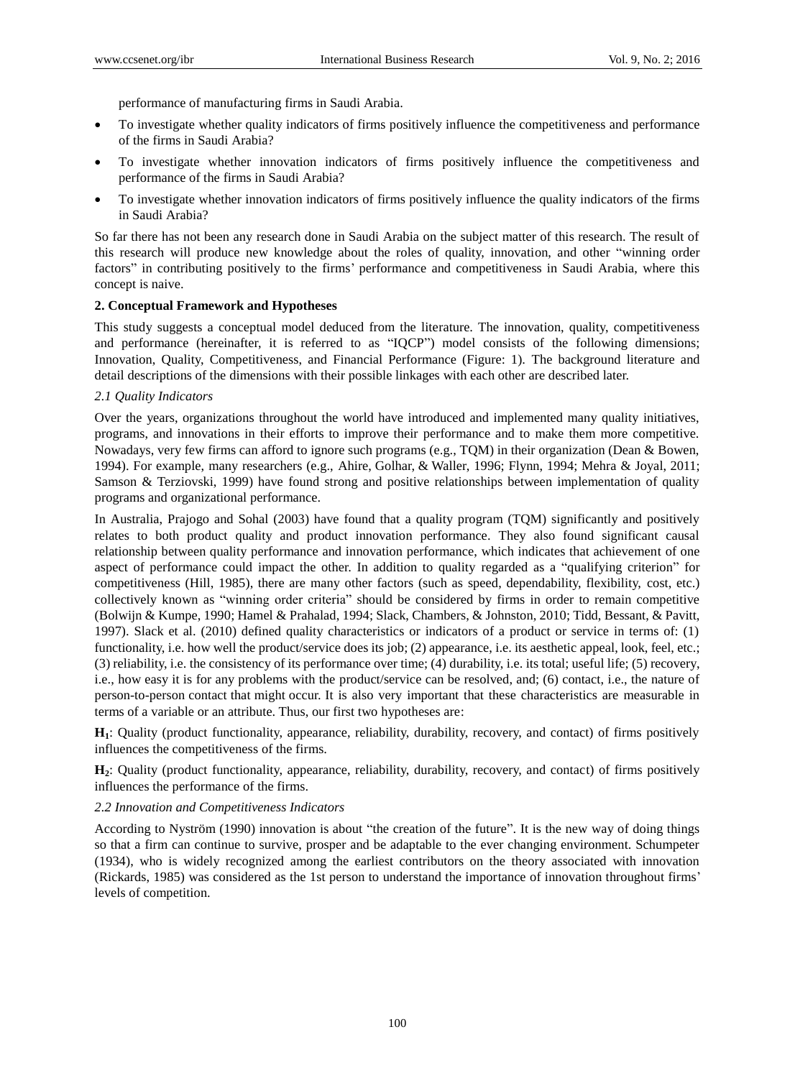performance of manufacturing firms in Saudi Arabia.

- To investigate whether quality indicators of firms positively influence the competitiveness and performance of the firms in Saudi Arabia?
- To investigate whether innovation indicators of firms positively influence the competitiveness and performance of the firms in Saudi Arabia?
- To investigate whether innovation indicators of firms positively influence the quality indicators of the firms in Saudi Arabia?

So far there has not been any research done in Saudi Arabia on the subject matter of this research. The result of this research will produce new knowledge about the roles of quality, innovation, and other "winning order factors" in contributing positively to the firms' performance and competitiveness in Saudi Arabia, where this concept is naive.

# **2. Conceptual Framework and Hypotheses**

This study suggests a conceptual model deduced from the literature. The innovation, quality, competitiveness and performance (hereinafter, it is referred to as "IQCP") model consists of the following dimensions; Innovation, Quality, Competitiveness, and Financial Performance (Figure: 1). The background literature and detail descriptions of the dimensions with their possible linkages with each other are described later.

# *2.1 Quality Indicators*

Over the years, organizations throughout the world have introduced and implemented many quality initiatives, programs, and innovations in their efforts to improve their performance and to make them more competitive. Nowadays, very few firms can afford to ignore such programs (e.g., TQM) in their organization (Dean & Bowen, 1994). For example, many researchers (e.g., Ahire, Golhar, & Waller, 1996; Flynn, 1994; Mehra & Joyal, 2011; Samson & Terziovski, 1999) have found strong and positive relationships between implementation of quality programs and organizational performance.

In Australia, Prajogo and Sohal (2003) have found that a quality program (TQM) significantly and positively relates to both product quality and product innovation performance. They also found significant causal relationship between quality performance and innovation performance, which indicates that achievement of one aspect of performance could impact the other. In addition to quality regarded as a "qualifying criterion" for competitiveness (Hill, 1985), there are many other factors (such as speed, dependability, flexibility, cost, etc.) collectively known as "winning order criteria" should be considered by firms in order to remain competitive [\(Bolwijn & Kumpe, 1990;](http://www.emeraldinsight.com/journals.htm?issn=0265-671X&volume=20&issue=8&articleid=840631&show=html#idb6) [Hamel & Prahalad, 1994;](http://www.emeraldinsight.com/journals.htm?issn=0265-671X&volume=20&issue=8&articleid=840631&show=html#idb25) Slack, Chambers, & Johnston, 2010; [Tidd, Bessant, & Pavitt,](http://www.emeraldinsight.com/journals.htm?issn=0265-671X&volume=20&issue=8&articleid=840631&show=html#idb55)  [1997\)](http://www.emeraldinsight.com/journals.htm?issn=0265-671X&volume=20&issue=8&articleid=840631&show=html#idb55). Slack et al. (2010) defined quality characteristics or indicators of a product or service in terms of: (1) functionality, i.e. how well the product/service does its job; (2) appearance, i.e. its aesthetic appeal, look, feel, etc.; (3) reliability, i.e. the consistency of its performance over time; (4) durability, i.e. its total; useful life; (5) recovery, i.e., how easy it is for any problems with the product/service can be resolved, and; (6) contact, i.e., the nature of person-to-person contact that might occur. It is also very important that these characteristics are measurable in terms of a variable or an attribute. Thus, our first two hypotheses are:

**H1**: Quality (product functionality, appearance, reliability, durability, recovery, and contact) of firms positively influences the competitiveness of the firms.

**H2**: Quality (product functionality, appearance, reliability, durability, recovery, and contact) of firms positively influences the performance of the firms.

# *2.2 Innovation and Competitiveness Indicators*

According to Nyström (1990) innovation is about "the creation of the future". It is the new way of doing things so that a firm can continue to survive, prosper and be adaptable to the ever changing environment. Schumpeter (1934), who is widely recognized among the earliest contributors on the theory associated with innovation (Rickards, 1985) was considered as the 1st person to understand the importance of innovation throughout firms' levels of competition.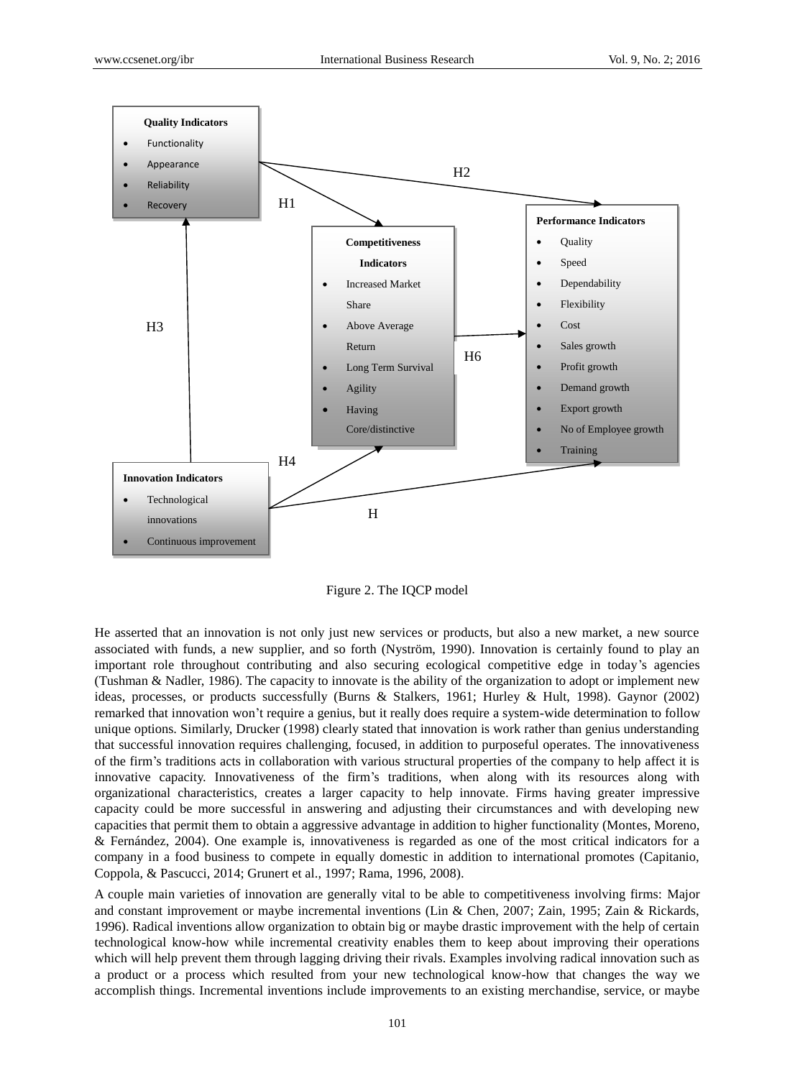

Figure 2. The IQCP model

He asserted that an innovation is not only just new services or products, but also a new market, a new source associated with funds, a new supplier, and so forth (Nyström, 1990). Innovation is certainly found to play an important role throughout contributing and also securing ecological competitive edge in today's agencies (Tushman & Nadler, 1986). The capacity to innovate is the ability of the organization to adopt or implement new ideas, processes, or products successfully (Burns & Stalkers, 1961; Hurley & Hult, 1998). Gaynor (2002) remarked that innovation won't require a genius, but it really does require a system-wide determination to follow unique options. Similarly, Drucker (1998) clearly stated that innovation is work rather than genius understanding that successful innovation requires challenging, focused, in addition to purposeful operates. The innovativeness of the firm's traditions acts in collaboration with various structural properties of the company to help affect it is innovative capacity. Innovativeness of the firm's traditions, when along with its resources along with organizational characteristics, creates a larger capacity to help innovate. Firms having greater impressive capacity could be more successful in answering and adjusting their circumstances and with developing new capacities that permit them to obtain a aggressive advantage in addition to higher functionality (Montes, Moreno, & Fernández, 2004). One example is, innovativeness is regarded as one of the most critical indicators for a company in a food business to compete in equally domestic in addition to international promotes (Capitanio, Coppola, & Pascucci, 2014; Grunert et al., 1997; Rama, 1996, 2008).

A couple main varieties of innovation are generally vital to be able to competitiveness involving firms: Major and constant improvement or maybe incremental inventions (Lin & Chen, 2007; Zain, 1995; Zain & Rickards, 1996). Radical inventions allow organization to obtain big or maybe drastic improvement with the help of certain technological know-how while incremental creativity enables them to keep about improving their operations which will help prevent them through lagging driving their rivals. Examples involving radical innovation such as a product or a process which resulted from your new technological know-how that changes the way we accomplish things. Incremental inventions include improvements to an existing merchandise, service, or maybe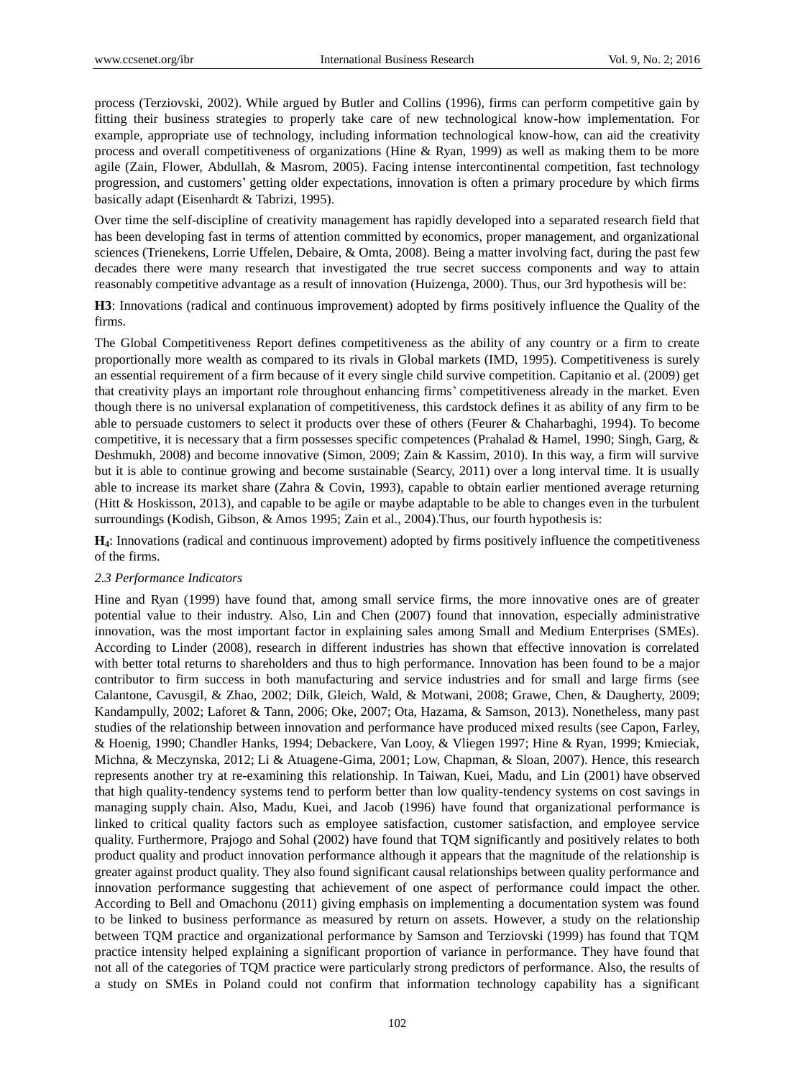process (Terziovski, 2002). While argued by Butler and Collins (1996), firms can perform competitive gain by fitting their business strategies to properly take care of new technological know-how implementation. For example, appropriate use of technology, including information technological know-how, can aid the creativity process and overall competitiveness of organizations (Hine & Ryan, 1999) as well as making them to be more agile (Zain, Flower, Abdullah, & Masrom, 2005). Facing intense intercontinental competition, fast technology progression, and customers' getting older expectations, innovation is often a primary procedure by which firms basically adapt (Eisenhardt & Tabrizi, 1995).

Over time the self-discipline of creativity management has rapidly developed into a separated research field that has been developing fast in terms of attention committed by economics, proper management, and organizational sciences (Trienekens, Lorrie Uffelen, Debaire, & Omta, 2008). Being a matter involving fact, during the past few decades there were many research that investigated the true secret success components and way to attain reasonably competitive advantage as a result of innovation (Huizenga, 2000). Thus, our 3rd hypothesis will be:

**H3**: Innovations (radical and continuous improvement) adopted by firms positively influence the Quality of the firms.

The Global Competitiveness Report defines competitiveness as the ability of any country or a firm to create proportionally more wealth as compared to its rivals in Global markets (IMD, 1995). Competitiveness is surely an essential requirement of a firm because of it every single child survive competition. Capitanio et al. (2009) get that creativity plays an important role throughout enhancing firms' competitiveness already in the market. Even though there is no universal explanation of competitiveness, this cardstock defines it as ability of any firm to be able to persuade customers to select it products over these of others (Feurer & Chaharbaghi, 1994). To become competitive, it is necessary that a firm possesses specific competences (Prahalad & Hamel, 1990; Singh, Garg, & Deshmukh, 2008) and become innovative (Simon, 2009; Zain & Kassim, 2010). In this way, a firm will survive but it is able to continue growing and become sustainable (Searcy, 2011) over a long interval time. It is usually able to increase its market share (Zahra & Covin, 1993), capable to obtain earlier mentioned average returning (Hitt & Hoskisson, 2013), and capable to be agile or maybe adaptable to be able to changes even in the turbulent surroundings (Kodish, Gibson, & Amos 1995; Zain et al., 2004).Thus, our fourth hypothesis is:

**H4**: Innovations (radical and continuous improvement) adopted by firms positively influence the competitiveness of the firms.

# *2.3 Performance Indicators*

Hine and Ryan (1999) have found that, among small service firms, the more innovative ones are of greater potential value to their industry. Also, Lin and Chen (2007) found that innovation, especially administrative innovation, was the most important factor in explaining sales among Small and Medium Enterprises (SMEs). According to Linder (2008), research in different industries has shown that effective innovation is correlated with better total returns to shareholders and thus to high performance. Innovation has been found to be a major contributor to firm success in both manufacturing and service industries and for small and large firms (see Calantone, Cavusgil, & Zhao, 2002; Dilk, Gleich, Wald, & Motwani, 2008; Grawe, Chen, & Daugherty, 2009; Kandampully, 2002; Laforet & Tann, 2006; Oke, 2007; Ota, Hazama, & Samson, 2013). Nonetheless, many past studies of the relationship between innovation and performance have produced mixed results (see Capon, Farley, & Hoenig, 1990; Chandler Hanks, 1994; Debackere, Van Looy, & Vliegen 1997; Hine & Ryan, 1999; Kmieciak, Michna, & Meczynska, 2012; Li & Atuagene-Gima, 2001; Low, Chapman, & Sloan, 2007). Hence, this research represents another try at re-examining this relationship. In Taiwan, Kuei, Madu, and Lin (2001) have observed that high quality-tendency systems tend to perform better than low quality-tendency systems on cost savings in managing supply chain. Also, Madu, Kuei, and Jacob (1996) have found that organizational performance is linked to critical quality factors such as employee satisfaction, customer satisfaction, and employee service quality. Furthermore, Prajogo and Sohal (2002) have found that TQM significantly and positively relates to both product quality and product innovation performance although it appears that the magnitude of the relationship is greater against product quality. They also found significant causal relationships between quality performance and innovation performance suggesting that achievement of one aspect of performance could impact the other. According to Bell and Omachonu (2011) giving emphasis on implementing a documentation system was found to be linked to business performance as measured by return on assets. However, a study on the relationship between TQM practice and organizational performance by Samson and Terziovski (1999) has found that TQM practice intensity helped explaining a significant proportion of variance in performance. They have found that not all of the categories of TQM practice were particularly strong predictors of performance. Also, the results of a study on SMEs in Poland could not confirm that information technology capability has a significant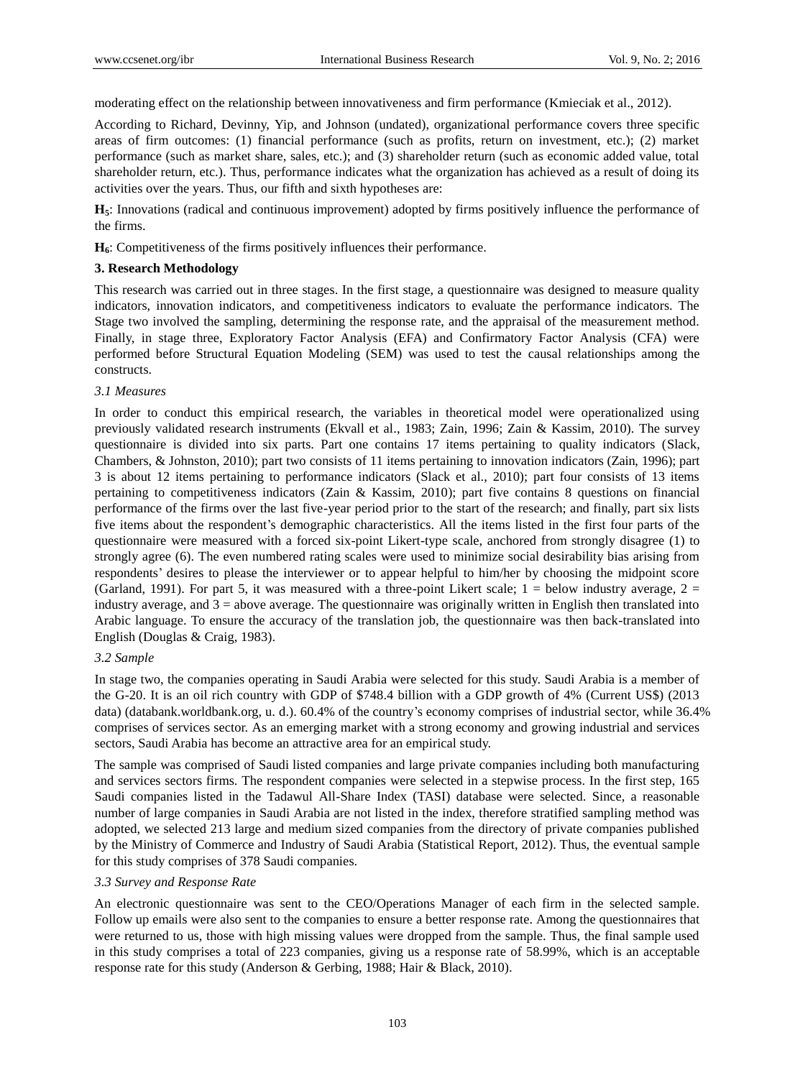moderating effect on the relationship between innovativeness and firm performance (Kmieciak et al., 2012).

According to Richard, Devinny, Yip, and Johnson (undated), organizational performance covers three specific areas of firm outcomes: (1) financial performance (such as profits, return on investment, etc.); (2) market performance (such as market share, sales, etc.); and (3) shareholder return (such as economic added value, total shareholder return, etc.). Thus, performance indicates what the organization has achieved as a result of doing its activities over the years. Thus, our fifth and sixth hypotheses are:

**H5**: Innovations (radical and continuous improvement) adopted by firms positively influence the performance of the firms.

**H6**: Competitiveness of the firms positively influences their performance.

# **3. Research Methodology**

This research was carried out in three stages. In the first stage, a questionnaire was designed to measure quality indicators, innovation indicators, and competitiveness indicators to evaluate the performance indicators. The Stage two involved the sampling, determining the response rate, and the appraisal of the measurement method. Finally, in stage three, Exploratory Factor Analysis (EFA) and Confirmatory Factor Analysis (CFA) were performed before Structural Equation Modeling (SEM) was used to test the causal relationships among the constructs.

# *3.1 Measures*

In order to conduct this empirical research, the variables in theoretical model were operationalized using previously validated research instruments (Ekvall et al., 1983; Zain, 1996; Zain & Kassim, 2010). The survey questionnaire is divided into six parts. Part one contains 17 items pertaining to quality indicators (Slack, Chambers, & Johnston, 2010); part two consists of 11 items pertaining to innovation indicators (Zain, 1996); part 3 is about 12 items pertaining to performance indicators (Slack et al., 2010); part four consists of 13 items pertaining to competitiveness indicators (Zain & Kassim, 2010); part five contains 8 questions on financial performance of the firms over the last five-year period prior to the start of the research; and finally, part six lists five items about the respondent's demographic characteristics. All the items listed in the first four parts of the questionnaire were measured with a forced six-point Likert-type scale, anchored from strongly disagree (1) to strongly agree (6). The even numbered rating scales were used to minimize social desirability bias arising from respondents' desires to please the interviewer or to appear helpful to him/her by choosing the midpoint score (Garland, 1991). For part 5, it was measured with a three-point Likert scale;  $1 =$  below industry average,  $2 =$ industry average, and  $3 =$  above average. The questionnaire was originally written in English then translated into Arabic language. To ensure the accuracy of the translation job, the questionnaire was then back-translated into English (Douglas & Craig, 1983).

# *3.2 Sample*

In stage two, the companies operating in Saudi Arabia were selected for this study. Saudi Arabia is a member of the G-20. It is an oil rich country with GDP of \$748.4 billion with a GDP growth of 4% (Current US\$) (2013 data) (databank.worldbank.org, u. d.). 60.4% of the country's economy comprises of industrial sector, while 36.4% comprises of services sector. As an emerging market with a strong economy and growing industrial and services sectors, Saudi Arabia has become an attractive area for an empirical study.

The sample was comprised of Saudi listed companies and large private companies including both manufacturing and services sectors firms. The respondent companies were selected in a stepwise process. In the first step, 165 Saudi companies listed in the Tadawul All-Share Index (TASI) database were selected. Since, a reasonable number of large companies in Saudi Arabia are not listed in the index, therefore stratified sampling method was adopted, we selected 213 large and medium sized companies from the directory of private companies published by the Ministry of Commerce and Industry of Saudi Arabia (Statistical Report, 2012). Thus, the eventual sample for this study comprises of 378 Saudi companies.

# *3.3 Survey and Response Rate*

An electronic questionnaire was sent to the CEO/Operations Manager of each firm in the selected sample. Follow up emails were also sent to the companies to ensure a better response rate. Among the questionnaires that were returned to us, those with high missing values were dropped from the sample. Thus, the final sample used in this study comprises a total of 223 companies, giving us a response rate of 58.99%, which is an acceptable response rate for this study (Anderson & Gerbing, 1988; Hair & Black, 2010).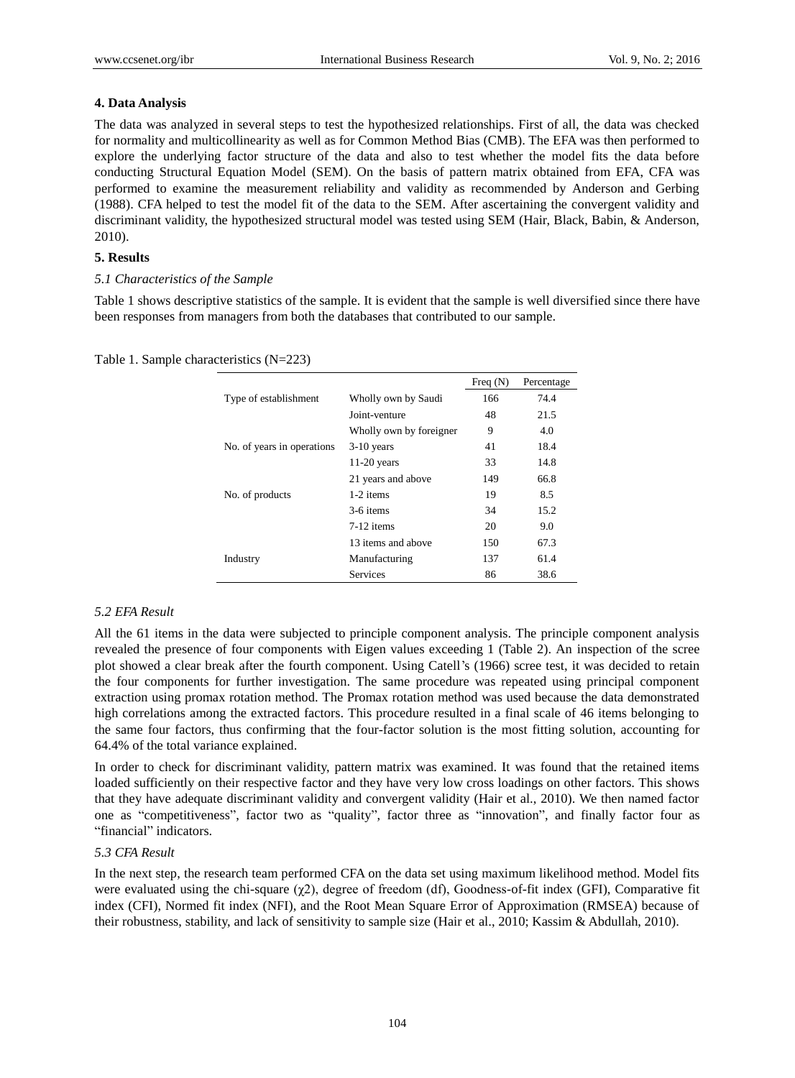# **4. Data Analysis**

The data was analyzed in several steps to test the hypothesized relationships. First of all, the data was checked for normality and multicollinearity as well as for Common Method Bias (CMB). The EFA was then performed to explore the underlying factor structure of the data and also to test whether the model fits the data before conducting Structural Equation Model (SEM). On the basis of pattern matrix obtained from EFA, CFA was performed to examine the measurement reliability and validity as recommended by Anderson and Gerbing (1988). CFA helped to test the model fit of the data to the SEM. After ascertaining the convergent validity and discriminant validity, the hypothesized structural model was tested using SEM (Hair, Black, Babin, & Anderson, 2010).

# **5. Results**

# *5.1 Characteristics of the Sample*

Table 1 shows descriptive statistics of the sample. It is evident that the sample is well diversified since there have been responses from managers from both the databases that contributed to our sample.

|  |  | Table 1. Sample characteristics $(N=223)$ |  |  |
|--|--|-------------------------------------------|--|--|
|--|--|-------------------------------------------|--|--|

|                            |                         | Freq $(N)$ | Percentage |
|----------------------------|-------------------------|------------|------------|
| Type of establishment      | Wholly own by Saudi     | 166        | 74.4       |
|                            | Joint-venture           | 48         | 21.5       |
|                            | Wholly own by foreigner | 9          | 4.0        |
| No. of years in operations | $3-10$ years            | 41         | 18.4       |
|                            | $11-20$ years           | 33         | 14.8       |
|                            | 21 years and above      | 149        | 66.8       |
| No. of products            | 1-2 items               | 19         | 8.5        |
|                            | 3-6 items               | 34         | 15.2       |
|                            | $7-12$ items            | 20         | 9.0        |
|                            | 13 items and above      | 150        | 67.3       |
| Industry                   | Manufacturing           | 137        | 61.4       |
|                            | <b>Services</b>         | 86         | 38.6       |

# *5.2 EFA Result*

All the 61 items in the data were subjected to principle component analysis. The principle component analysis revealed the presence of four components with Eigen values exceeding 1 (Table 2). An inspection of the scree plot showed a clear break after the fourth component. Using Catell's (1966) scree test, it was decided to retain the four components for further investigation. The same procedure was repeated using principal component extraction using promax rotation method. The Promax rotation method was used because the data demonstrated high correlations among the extracted factors. This procedure resulted in a final scale of 46 items belonging to the same four factors, thus confirming that the four-factor solution is the most fitting solution, accounting for 64.4% of the total variance explained.

In order to check for discriminant validity, pattern matrix was examined. It was found that the retained items loaded sufficiently on their respective factor and they have very low cross loadings on other factors. This shows that they have adequate discriminant validity and convergent validity (Hair et al., 2010). We then named factor one as "competitiveness", factor two as "quality", factor three as "innovation", and finally factor four as "financial" indicators.

# *5.3 CFA Result*

In the next step, the research team performed CFA on the data set using maximum likelihood method. Model fits were evaluated using the chi-square (χ2), degree of freedom (df), Goodness-of-fit index (GFI), Comparative fit index (CFI), Normed fit index (NFI), and the Root Mean Square Error of Approximation (RMSEA) because of their robustness, stability, and lack of sensitivity to sample size (Hair et al., 2010; Kassim & Abdullah, 2010).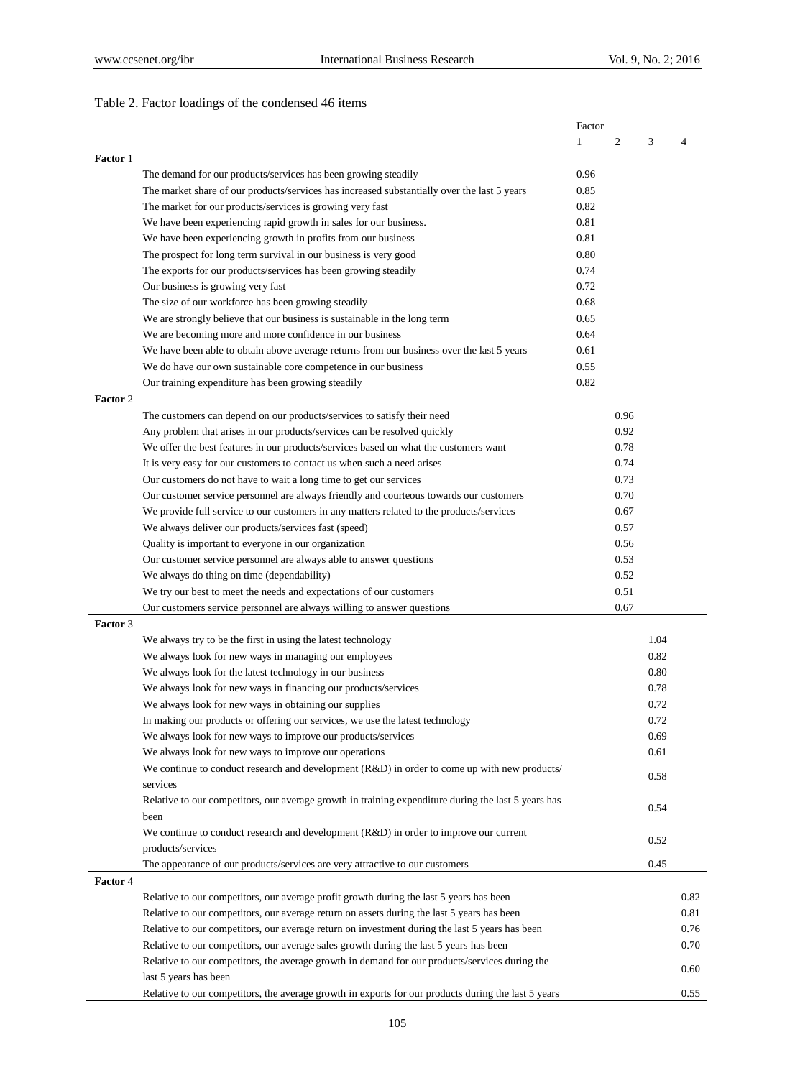# Table 2. Factor loadings of the condensed 46 items

|                 |                                                                                                     | Factor |      |      |      |
|-----------------|-----------------------------------------------------------------------------------------------------|--------|------|------|------|
|                 |                                                                                                     | 1      | 2    | 3    | 4    |
| Factor 1        |                                                                                                     |        |      |      |      |
|                 | The demand for our products/services has been growing steadily                                      | 0.96   |      |      |      |
|                 | The market share of our products/services has increased substantially over the last 5 years         | 0.85   |      |      |      |
|                 | The market for our products/services is growing very fast                                           | 0.82   |      |      |      |
|                 | We have been experiencing rapid growth in sales for our business.                                   | 0.81   |      |      |      |
|                 | We have been experiencing growth in profits from our business                                       | 0.81   |      |      |      |
|                 | The prospect for long term survival in our business is very good                                    | 0.80   |      |      |      |
|                 | The exports for our products/services has been growing steadily                                     | 0.74   |      |      |      |
|                 | Our business is growing very fast                                                                   | 0.72   |      |      |      |
|                 | The size of our workforce has been growing steadily                                                 | 0.68   |      |      |      |
|                 | We are strongly believe that our business is sustainable in the long term                           | 0.65   |      |      |      |
|                 | We are becoming more and more confidence in our business                                            | 0.64   |      |      |      |
|                 | We have been able to obtain above average returns from our business over the last 5 years           | 0.61   |      |      |      |
|                 | We do have our own sustainable core competence in our business                                      | 0.55   |      |      |      |
|                 | Our training expenditure has been growing steadily                                                  | 0.82   |      |      |      |
| Factor 2        |                                                                                                     |        |      |      |      |
|                 | The customers can depend on our products/services to satisfy their need                             |        | 0.96 |      |      |
|                 | Any problem that arises in our products/services can be resolved quickly                            |        | 0.92 |      |      |
|                 | We offer the best features in our products/services based on what the customers want                |        | 0.78 |      |      |
|                 | It is very easy for our customers to contact us when such a need arises                             |        | 0.74 |      |      |
|                 | Our customers do not have to wait a long time to get our services                                   |        | 0.73 |      |      |
|                 | Our customer service personnel are always friendly and courteous towards our customers              |        | 0.70 |      |      |
|                 | We provide full service to our customers in any matters related to the products/services            |        | 0.67 |      |      |
|                 | We always deliver our products/services fast (speed)                                                |        | 0.57 |      |      |
|                 | Quality is important to everyone in our organization                                                |        | 0.56 |      |      |
|                 | Our customer service personnel are always able to answer questions                                  |        | 0.53 |      |      |
|                 | We always do thing on time (dependability)                                                          |        | 0.52 |      |      |
|                 | We try our best to meet the needs and expectations of our customers                                 |        | 0.51 |      |      |
|                 | Our customers service personnel are always willing to answer questions                              |        | 0.67 |      |      |
| <b>Factor</b> 3 |                                                                                                     |        |      |      |      |
|                 | We always try to be the first in using the latest technology                                        |        |      | 1.04 |      |
|                 | We always look for new ways in managing our employees                                               |        |      | 0.82 |      |
|                 | We always look for the latest technology in our business                                            |        |      | 0.80 |      |
|                 | We always look for new ways in financing our products/services                                      |        |      | 0.78 |      |
|                 | We always look for new ways in obtaining our supplies                                               |        |      | 0.72 |      |
|                 | In making our products or offering our services, we use the latest technology                       |        |      | 0.72 |      |
|                 | We always look for new ways to improve our products/services                                        |        |      | 0.69 |      |
|                 | We always look for new ways to improve our operations                                               |        |      | 0.61 |      |
|                 | We continue to conduct research and development $(R&D)$ in order to come up with new products/      |        |      |      |      |
|                 | services                                                                                            |        |      | 0.58 |      |
|                 | Relative to our competitors, our average growth in training expenditure during the last 5 years has |        |      |      |      |
|                 | been                                                                                                |        |      | 0.54 |      |
|                 | We continue to conduct research and development (R&D) in order to improve our current               |        |      |      |      |
|                 | products/services                                                                                   |        |      | 0.52 |      |
|                 | The appearance of our products/services are very attractive to our customers                        |        |      | 0.45 |      |
| <b>Factor</b> 4 |                                                                                                     |        |      |      |      |
|                 | Relative to our competitors, our average profit growth during the last 5 years has been             |        |      |      | 0.82 |
|                 | Relative to our competitors, our average return on assets during the last 5 years has been          |        |      |      | 0.81 |
|                 |                                                                                                     |        |      |      |      |
|                 | Relative to our competitors, our average return on investment during the last 5 years has been      |        |      |      | 0.76 |
|                 | Relative to our competitors, our average sales growth during the last 5 years has been              |        |      |      | 0.70 |
|                 | Relative to our competitors, the average growth in demand for our products/services during the      |        |      |      | 0.60 |
|                 | last 5 years has been                                                                               |        |      |      |      |
|                 | Relative to our competitors, the average growth in exports for our products during the last 5 years |        |      |      | 0.55 |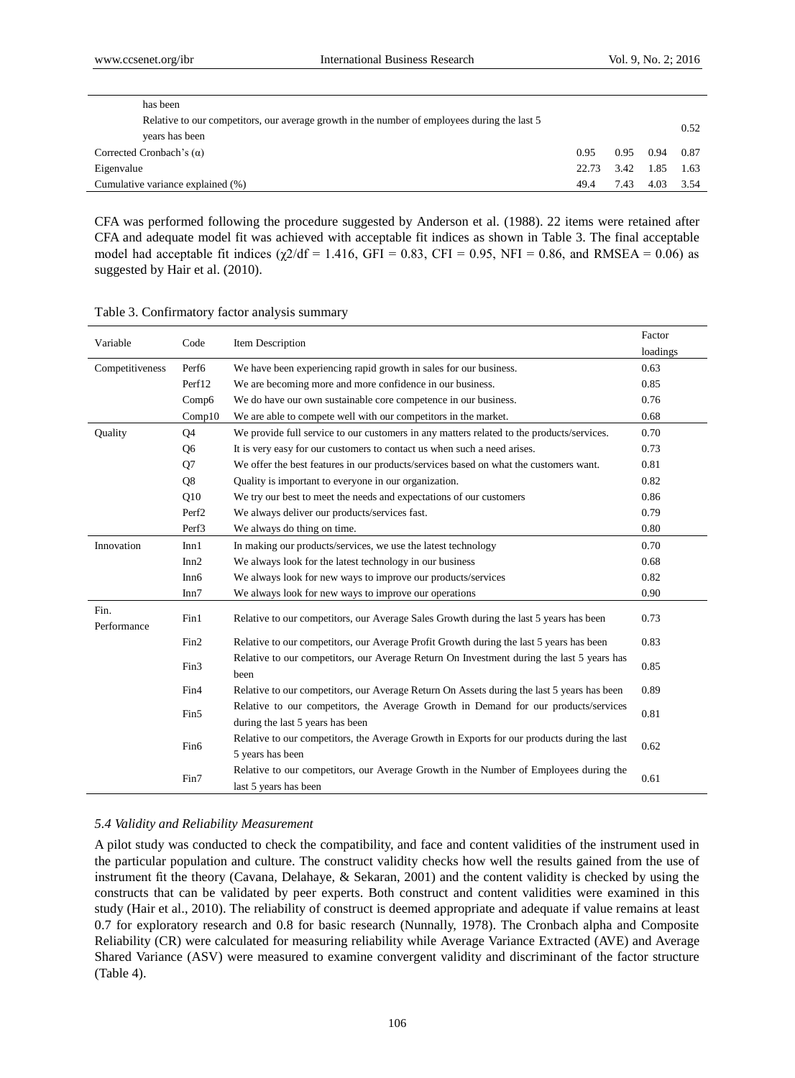| has been                                                                                     |       |      |           |      |
|----------------------------------------------------------------------------------------------|-------|------|-----------|------|
| Relative to our competitors, our average growth in the number of employees during the last 5 |       |      |           | 0.52 |
| years has been                                                                               |       |      |           |      |
| Corrected Cronbach's $(\alpha)$                                                              | 0.95  | 0.95 | 0.94 0.87 |      |
| Eigenvalue                                                                                   | 22.73 |      | 3.42 1.85 | 1.63 |
| Cumulative variance explained (%)                                                            | 49.4  | 7.43 | 4.03      | 3.54 |

CFA was performed following the procedure suggested by Anderson et al. (1988). 22 items were retained after CFA and adequate model fit was achieved with acceptable fit indices as shown in Table 3. The final acceptable model had acceptable fit indices  $(\chi/2/df = 1.416, GFI = 0.83, CFI = 0.95, NFI = 0.86, and RMSEA = 0.06$  as suggested by Hair et al. (2010).

| Variable            | Code              | Item Description                                                                                  | Factor   |
|---------------------|-------------------|---------------------------------------------------------------------------------------------------|----------|
|                     |                   |                                                                                                   | loadings |
| Competitiveness     | Perf <sub>6</sub> | We have been experiencing rapid growth in sales for our business.                                 | 0.63     |
|                     | Perf12            | We are becoming more and more confidence in our business.                                         | 0.85     |
|                     | Comp6             | We do have our own sustainable core competence in our business.                                   | 0.76     |
|                     | Comp10            | We are able to compete well with our competitors in the market.                                   | 0.68     |
| Quality             | Q <sub>4</sub>    | We provide full service to our customers in any matters related to the products/services.         | 0.70     |
|                     | Q <sub>6</sub>    | It is very easy for our customers to contact us when such a need arises.                          | 0.73     |
|                     | Q7                | We offer the best features in our products/services based on what the customers want.             | 0.81     |
|                     | Q8                | Quality is important to everyone in our organization.                                             | 0.82     |
|                     | Q10               | We try our best to meet the needs and expectations of our customers                               | 0.86     |
|                     | Perf <sub>2</sub> | We always deliver our products/services fast.                                                     | 0.79     |
|                     | Perf3             | We always do thing on time.                                                                       | 0.80     |
| Innovation          | Inn1              | In making our products/services, we use the latest technology                                     | 0.70     |
|                     | Inn2              | We always look for the latest technology in our business                                          | 0.68     |
|                     | Inn <sub>6</sub>  | We always look for new ways to improve our products/services                                      | 0.82     |
|                     | Inn7              | We always look for new ways to improve our operations                                             | 0.90     |
| Fin.<br>Performance | Fin1              | Relative to our competitors, our Average Sales Growth during the last 5 years has been            | 0.73     |
|                     | Fin2              | Relative to our competitors, our Average Profit Growth during the last 5 years has been           | 0.83     |
|                     | Fin3              | Relative to our competitors, our Average Return On Investment during the last 5 years has<br>been | 0.85     |
|                     | Fin <sub>4</sub>  | Relative to our competitors, our Average Return On Assets during the last 5 years has been        | 0.89     |
|                     |                   | Relative to our competitors, the Average Growth in Demand for our products/services               |          |
|                     | Fin5              | during the last 5 years has been                                                                  | 0.81     |
|                     |                   | Relative to our competitors, the Average Growth in Exports for our products during the last       |          |
|                     | Fin <sub>6</sub>  | 5 years has been                                                                                  | 0.62     |
|                     | Fin7              | Relative to our competitors, our Average Growth in the Number of Employees during the             | 0.61     |
|                     |                   | last 5 years has been                                                                             |          |

| Table 3. Confirmatory factor analysis summary |  |  |
|-----------------------------------------------|--|--|
|                                               |  |  |

## *5.4 Validity and Reliability Measurement*

A pilot study was conducted to check the compatibility, and face and content validities of the instrument used in the particular population and culture. The construct validity checks how well the results gained from the use of instrument fit the theory (Cavana, Delahaye, & Sekaran, 2001) and the content validity is checked by using the constructs that can be validated by peer experts. Both construct and content validities were examined in this study (Hair et al., 2010). The reliability of construct is deemed appropriate and adequate if value remains at least 0.7 for exploratory research and 0.8 for basic research (Nunnally, 1978). The Cronbach alpha and Composite Reliability (CR) were calculated for measuring reliability while Average Variance Extracted (AVE) and Average Shared Variance (ASV) were measured to examine convergent validity and discriminant of the factor structure (Table 4).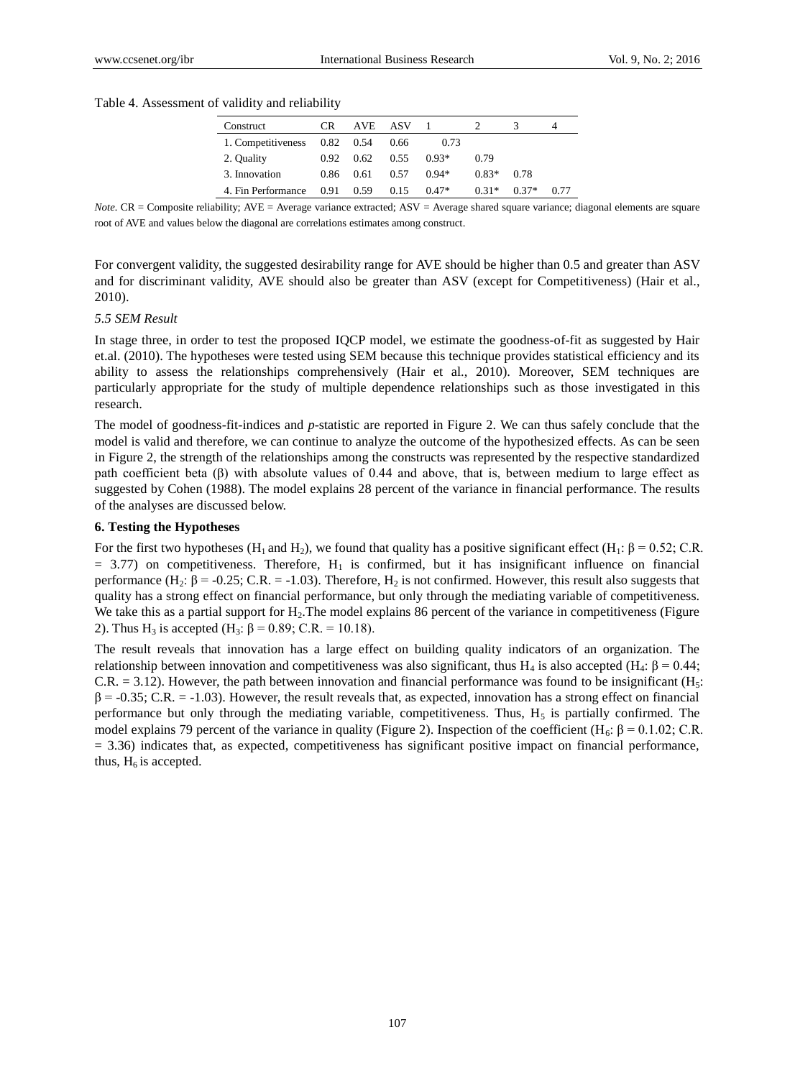#### Table 4. Assessment of validity and reliability

| Construct          | <b>CR</b>   | AVE. | – ASV |         |         |         | 4    |
|--------------------|-------------|------|-------|---------|---------|---------|------|
| 1. Competitiveness | $0.82$ 0.54 |      | 0.66  | 0.73    |         |         |      |
| 2. Quality         | 0.92        | 0.62 | 0.55  | $0.93*$ | 0.79    |         |      |
| 3. Innovation      | 0.86        | 0.61 | 0.57  | $0.94*$ | $0.83*$ | 0.78    |      |
| 4. Fin Performance | 0.91        | 0.59 | 0.15  | $0.47*$ | $0.31*$ | $0.37*$ | 0.77 |

*Note.* CR = Composite reliability; AVE = Average variance extracted; ASV = Average shared square variance; diagonal elements are square root of AVE and values below the diagonal are correlations estimates among construct.

For convergent validity, the suggested desirability range for AVE should be higher than 0.5 and greater than ASV and for discriminant validity, AVE should also be greater than ASV (except for Competitiveness) (Hair et al., 2010).

#### *5.5 SEM Result*

In stage three, in order to test the proposed IQCP model, we estimate the goodness-of-fit as suggested by Hair et.al. (2010). The hypotheses were tested using SEM because this technique provides statistical efficiency and its ability to assess the relationships comprehensively (Hair et al., 2010). Moreover, SEM techniques are particularly appropriate for the study of multiple dependence relationships such as those investigated in this research.

The model of goodness-fit-indices and *p*-statistic are reported in Figure 2. We can thus safely conclude that the model is valid and therefore, we can continue to analyze the outcome of the hypothesized effects. As can be seen in Figure 2, the strength of the relationships among the constructs was represented by the respective standardized path coefficient beta (β) with absolute values of 0.44 and above, that is, between medium to large effect as suggested by Cohen (1988). The model explains 28 percent of the variance in financial performance. The results of the analyses are discussed below.

#### **6. Testing the Hypotheses**

For the first two hypotheses (H<sub>1</sub> and H<sub>2</sub>), we found that quality has a positive significant effect (H<sub>1</sub>: β = 0.52; C.R.  $= 3.77$ ) on competitiveness. Therefore, H<sub>1</sub> is confirmed, but it has insignificant influence on financial performance  $(H_2: \beta = -0.25; C.R. = -1.03)$ . Therefore,  $H_2$  is not confirmed. However, this result also suggests that quality has a strong effect on financial performance, but only through the mediating variable of competitiveness. We take this as a partial support for  $H_2$ . The model explains 86 percent of the variance in competitiveness (Figure 2). Thus H<sub>3</sub> is accepted (H<sub>3</sub>: β = 0.89; C.R. = 10.18).

The result reveals that innovation has a large effect on building quality indicators of an organization. The relationship between innovation and competitiveness was also significant, thus H<sub>4</sub> is also accepted (H<sub>4</sub>: β = 0.44;  $C.R. = 3.12$ ). However, the path between innovation and financial performance was found to be insignificant (H<sub>5</sub>:  $\beta$  = -0.35; C.R. = -1.03). However, the result reveals that, as expected, innovation has a strong effect on financial performance but only through the mediating variable, competitiveness. Thus,  $H<sub>5</sub>$  is partially confirmed. The model explains 79 percent of the variance in quality (Figure 2). Inspection of the coefficient (H<sub>6</sub>: β = 0.1.02; C.R.  $= 3.36$ ) indicates that, as expected, competitiveness has significant positive impact on financial performance, thus,  $H_6$  is accepted.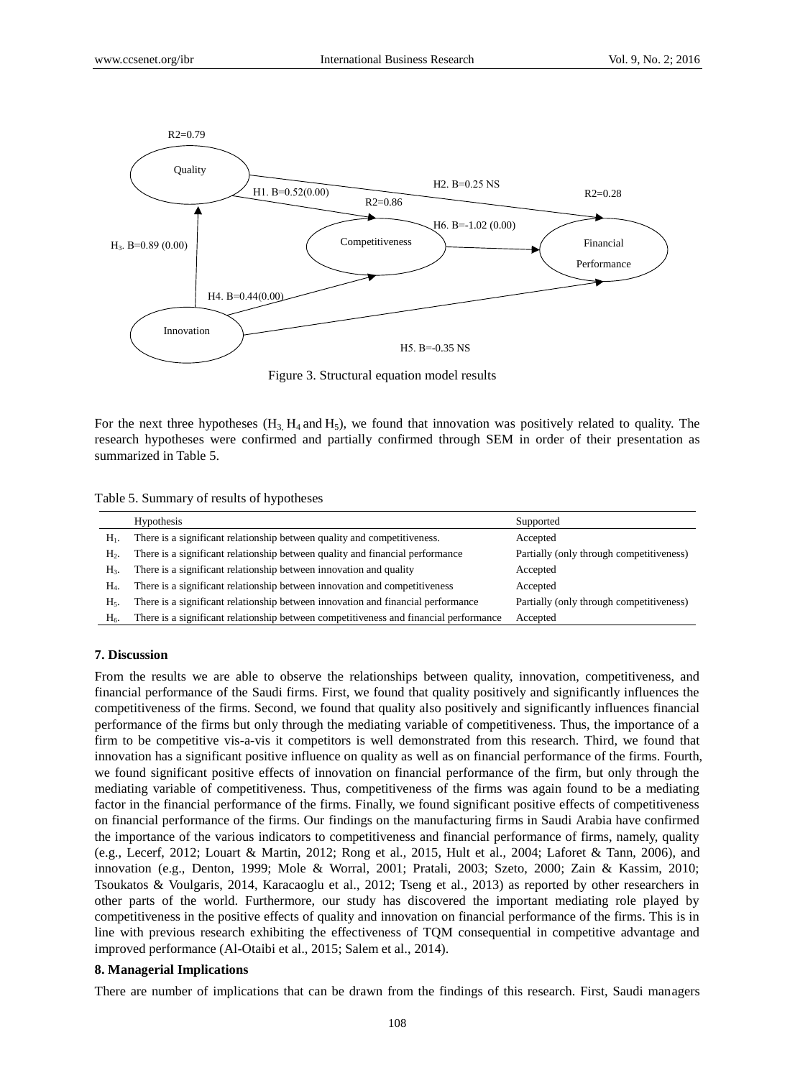

Figure 3. Structural equation model results

For the next three hypotheses  $(H_3, H_4 \text{ and } H_5)$ , we found that innovation was positively related to quality. The research hypotheses were confirmed and partially confirmed through SEM in order of their presentation as summarized in Table 5.

|  |  |  | Table 5. Summary of results of hypotheses |
|--|--|--|-------------------------------------------|
|  |  |  |                                           |

|                | <b>Hypothesis</b>                                                                     | Supported                                |
|----------------|---------------------------------------------------------------------------------------|------------------------------------------|
| $H_1$ .        | There is a significant relationship between quality and competitiveness.              | Accepted                                 |
| $H2$ .         | There is a significant relationship between quality and financial performance         | Partially (only through competitiveness) |
| H <sub>3</sub> | There is a significant relationship between innovation and quality                    | Accepted                                 |
| $H_4$          | There is a significant relationship between innovation and competitiveness            | Accepted                                 |
| $H_5$ .        | There is a significant relationship between innovation and financial performance      | Partially (only through competitiveness) |
| $H_6$          | There is a significant relationship between competitiveness and financial performance | Accepted                                 |

#### **7. Discussion**

From the results we are able to observe the relationships between quality, innovation, competitiveness, and financial performance of the Saudi firms. First, we found that quality positively and significantly influences the competitiveness of the firms. Second, we found that quality also positively and significantly influences financial performance of the firms but only through the mediating variable of competitiveness. Thus, the importance of a firm to be competitive vis-a-vis it competitors is well demonstrated from this research. Third, we found that innovation has a significant positive influence on quality as well as on financial performance of the firms. Fourth, we found significant positive effects of innovation on financial performance of the firm, but only through the mediating variable of competitiveness. Thus, competitiveness of the firms was again found to be a mediating factor in the financial performance of the firms. Finally, we found significant positive effects of competitiveness on financial performance of the firms. Our findings on the manufacturing firms in Saudi Arabia have confirmed the importance of the various indicators to competitiveness and financial performance of firms, namely, quality (e.g., Lecerf, 2012; Louart & Martin, 2012; Rong et al., 2015, Hult et al., 2004; Laforet & Tann, 2006), and innovation (e.g., Denton, 1999; Mole & Worral, 2001; Pratali, 2003; Szeto, 2000; Zain & Kassim, 2010; Tsoukatos & Voulgaris, 2014, Karacaoglu et al., 2012; Tseng et al., 2013) as reported by other researchers in other parts of the world. Furthermore, our study has discovered the important mediating role played by competitiveness in the positive effects of quality and innovation on financial performance of the firms. This is in line with previous research exhibiting the effectiveness of TQM consequential in competitive advantage and improved performance (Al-Otaibi et al., 2015; Salem et al., 2014).

### **8. Managerial Implications**

There are number of implications that can be drawn from the findings of this research. First, Saudi managers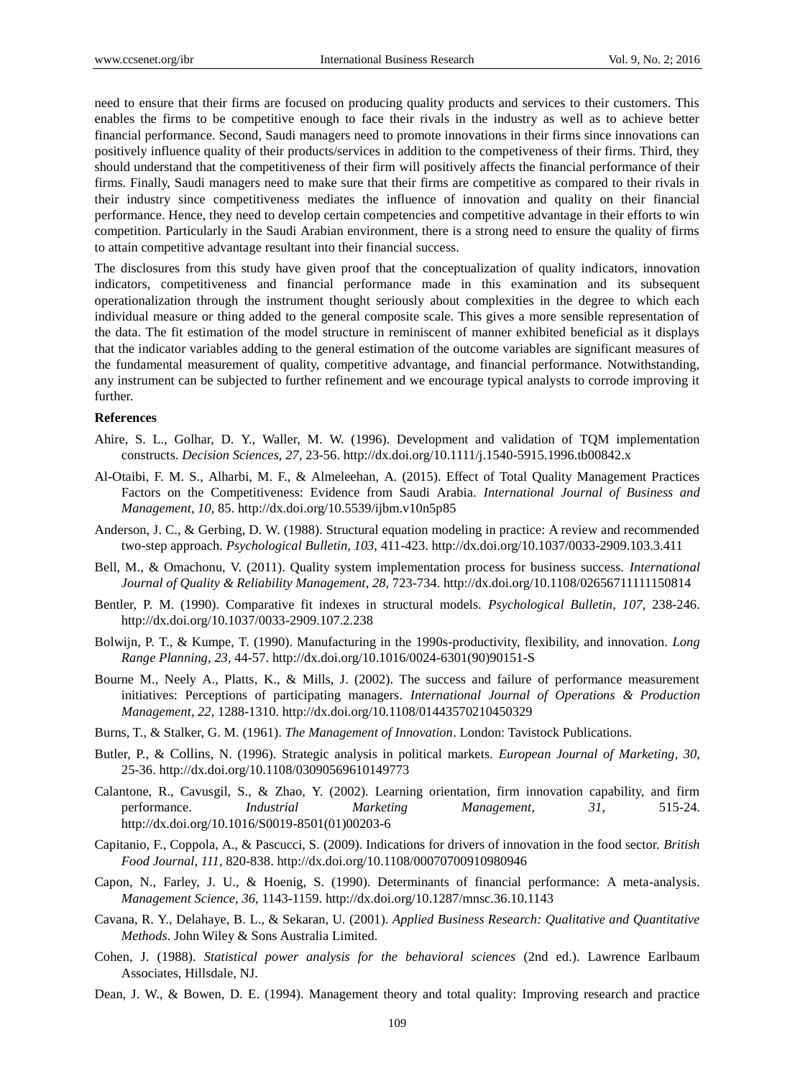need to ensure that their firms are focused on producing quality products and services to their customers. This enables the firms to be competitive enough to face their rivals in the industry as well as to achieve better financial performance. Second, Saudi managers need to promote innovations in their firms since innovations can positively influence quality of their products/services in addition to the competiveness of their firms. Third, they should understand that the competitiveness of their firm will positively affects the financial performance of their firms. Finally, Saudi managers need to make sure that their firms are competitive as compared to their rivals in their industry since competitiveness mediates the influence of innovation and quality on their financial performance. Hence, they need to develop certain competencies and competitive advantage in their efforts to win competition. Particularly in the Saudi Arabian environment, there is a strong need to ensure the quality of firms to attain competitive advantage resultant into their financial success.

The disclosures from this study have given proof that the conceptualization of quality indicators, innovation indicators, competitiveness and financial performance made in this examination and its subsequent operationalization through the instrument thought seriously about complexities in the degree to which each individual measure or thing added to the general composite scale. This gives a more sensible representation of the data. The fit estimation of the model structure in reminiscent of manner exhibited beneficial as it displays that the indicator variables adding to the general estimation of the outcome variables are significant measures of the fundamental measurement of quality, competitive advantage, and financial performance. Notwithstanding, any instrument can be subjected to further refinement and we encourage typical analysts to corrode improving it further.

## **References**

- Ahire, S. L., Golhar, D. Y., Waller, M. W. (1996). Development and validation of TQM implementation constructs. *Decision Sciences, 27*, 23-56. <http://dx.doi.org/10.1111/j.1540-5915.1996.tb00842.x>
- Al-Otaibi, F. M. S., Alharbi, M. F., & Almeleehan, A. (2015). Effect of Total Quality Management Practices Factors on the Competitiveness: Evidence from Saudi Arabia. *International Journal of Business and Management, 10,* 85. <http://dx.doi.org/10.5539/ijbm.v10n5p85>
- Anderson, J. C., & Gerbing, D. W. (1988). Structural equation modeling in practice: A review and recommended two-step approach. *Psychological Bulletin, 103,* 411-423. <http://dx.doi.org/10.1037/0033-2909.103.3.411>
- Bell, M., & Omachonu, V. (2011). Quality system implementation process for business success. *International Journal of Quality & Reliability Management, 28,* 723-734. <http://dx.doi.org/10.1108/02656711111150814>
- Bentler, P. M. (1990). Comparative fit indexes in structural models. *Psychological Bulletin, 107,* 238-246. <http://dx.doi.org/10.1037/0033-2909.107.2.238>
- Bolwijn, P. T., & Kumpe, T. (1990). Manufacturing in the 1990s-productivity, flexibility, and innovation. *Long Range Planning, 23*, 44-57. [http://dx.doi.org/10.1016/0024-6301\(90\)90151-S](http://dx.doi.org/10.1016/0024-6301(90)90151-S)
- Bourne M., Neely A., Platts, K., & Mills, J. (2002). The success and failure of performance measurement initiatives: Perceptions of participating managers. *International Journal of Operations & Production Management, 22*, 1288-1310. <http://dx.doi.org/10.1108/01443570210450329>
- Burns, T., & Stalker, G. M. (1961). *The Management of Innovation*. London: Tavistock Publications.
- Butler, P., & [Collins](http://www.emeraldinsight.com/action/doSearch?ContribStored=Collins%2C+N), N. (1996). Strategic analysis in political markets. *European Journal of Marketing, 30,*  25-36. <http://dx.doi.org/10.1108/03090569610149773>
- Calantone, R., Cavusgil, S., & Zhao, Y. (2002). Learning orientation, firm innovation capability, and firm performance. *Industrial Marketing Management, 31,* 515-24. [http://dx.doi.org/10.1016/S0019-8501\(01\)00203-6](http://dx.doi.org/10.1016/S0019-8501(01)00203-6)
- Capitanio, F., Coppola, A., & Pascucci, S. (2009). Indications for drivers of innovation in the food sector. *British Food Journal, 111,* 820-838. <http://dx.doi.org/10.1108/00070700910980946>
- Capon, N., Farley, J. U., & Hoenig, S. (1990). Determinants of financial performance: A meta-analysis. *Management Science, 36,* 1143-1159. <http://dx.doi.org/10.1287/mnsc.36.10.1143>
- Cavana, R. Y., Delahaye, B. L., & Sekaran, U. (2001). *Applied Business Research: Qualitative and Quantitative Methods*. John Wiley & Sons Australia Limited.
- Cohen, J. (1988). *Statistical power analysis for the behavioral sciences* (2nd ed.). Lawrence Earlbaum Associates, Hillsdale, NJ.
- Dean, J. W., & Bowen, D. E. (1994). Management theory and total quality: Improving research and practice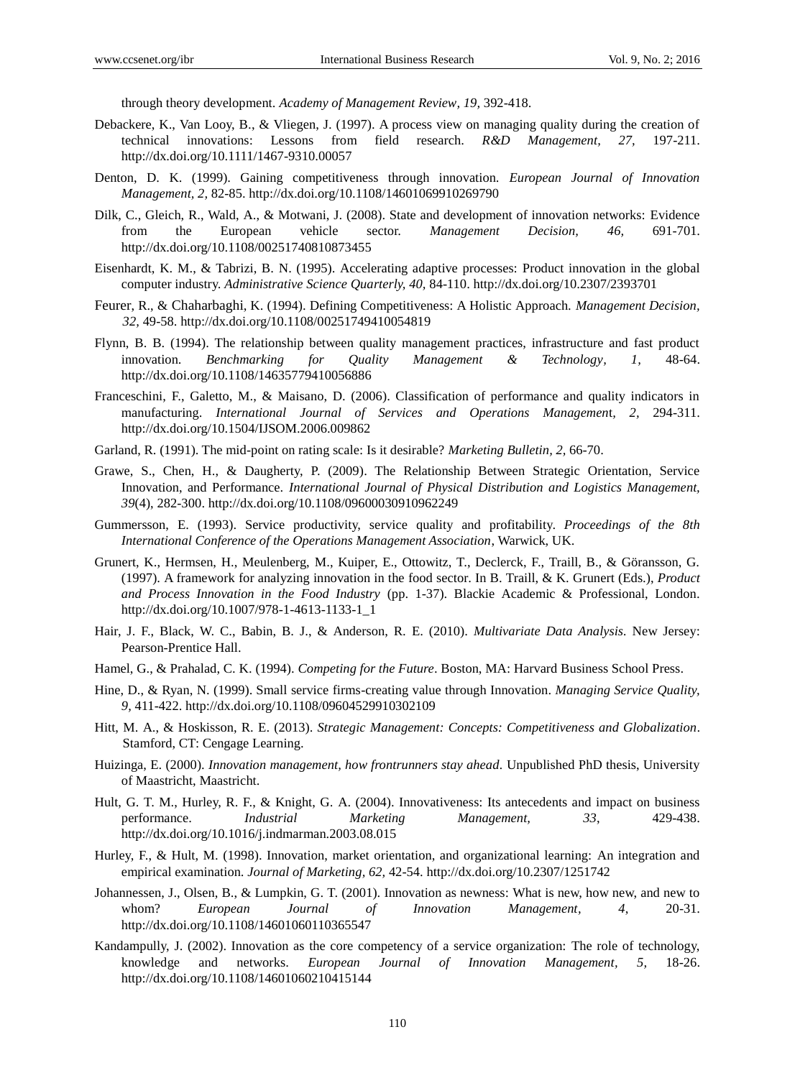through theory development. *Academy of Management Review, 19,* 392-418.

- Debackere, K., Van Looy, B., & Vliegen, J. (1997). A process view on managing quality during the creation of technical innovations: Lessons from field research. *R&D Management, 27,* 197-211. <http://dx.doi.org/10.1111/1467-9310.00057>
- Denton, D. K. (1999). Gaining competitiveness through innovation. *European Journal of Innovation Management, 2,* 82-85[. http://dx.doi.org/10.1108/14601069910269790](http://dx.doi.org/10.1108/14601069910269790)
- Dilk, C., Gleich, R., Wald, A., & Motwani, J. (2008). State and development of innovation networks: Evidence from the European vehicle sector. *Management Decision, 46,* 691-701. <http://dx.doi.org/10.1108/00251740810873455>
- Eisenhardt, K. M., & Tabrizi, B. N. (1995). Accelerating adaptive processes: Product innovation in the global computer industry. *Administrative Science Quarterly, 40,* 84-110. <http://dx.doi.org/10.2307/2393701>
- [Feurer](http://www.emeraldinsight.com/action/doSearch?ContribStored=Feurer%2C+R), R., & [Chaharbaghi](http://www.emeraldinsight.com/action/doSearch?ContribStored=Chaharbaghi%2C+K), K. (1994). Defining Competitiveness: A Holistic Approach. *Management Decision, 32,* 49-58. <http://dx.doi.org/10.1108/00251749410054819>
- Flynn, B. B. (1994). The relationship between quality management practices, infrastructure and fast product innovation. *Benchmarking for Quality Management & Technology, 1,* 48-64. <http://dx.doi.org/10.1108/14635779410056886>
- Franceschini, F., Galetto, M., & Maisano, D. (2006). Classification of performance and quality indicators in manufacturing. *International Journal of Services and Operations Managemen*t*, 2,* 294-311. <http://dx.doi.org/10.1504/IJSOM.2006.009862>
- Garland, R. (1991). The mid-point on rating scale: Is it desirable? *Marketing Bulletin, 2,* 66-70.
- Grawe, S., Chen, H., & Daugherty, P. (2009). The Relationship Between Strategic Orientation, Service Innovation, and Performance. *International Journal of Physical Distribution and Logistics Management, 39*(4), 282-300. <http://dx.doi.org/10.1108/09600030910962249>
- Gummersson, E. (1993). Service productivity, service quality and profitability. *Proceedings of the 8th International Conference of the Operations Management Association*, Warwick, UK.
- Grunert, K., Hermsen, H., Meulenberg, M., Kuiper, E., Ottowitz, T., Declerck, F., Traill, B., & Göransson, G. (1997). A framework for analyzing innovation in the food sector. In B. Traill, & K. Grunert (Eds.), *Product and Process Innovation in the Food Industry* (pp. 1-37). Blackie Academic & Professional, London. [http://dx.doi.org/10.1007/978-1-4613-1133-1\\_1](http://dx.doi.org/10.1007/978-1-4613-1133-1_1)
- Hair, J. F., Black, W. C., Babin, B. J., & Anderson, R. E. (2010). *Multivariate Data Analysis.* New Jersey: Pearson-Prentice Hall.
- Hamel, G., & Prahalad, C. K. (1994). *Competing for the Future*. Boston, MA: Harvard Business School Press.
- Hine, D., & Ryan, N. (1999). Small service firms-creating value through Innovation. *Managing Service Quality, 9,* 411-422. <http://dx.doi.org/10.1108/09604529910302109>
- [Hitt,](http://www.amazon.com/s/ref=dp_byline_sr_book_1?ie=UTF8&field-author=Michael+A.+Hitt&search-alias=books&text=Michael+A.+Hitt&sort=relevancerank) M. A., & [Hoskisson,](http://www.amazon.com/s/ref=dp_byline_sr_book_3?ie=UTF8&field-author=Robert+E.+Hoskisson&search-alias=books&text=Robert+E.+Hoskisson&sort=relevancerank) R. E. (2013). *Strategic Management: Concepts: Competitiveness and Globalization*. Stamford, CT: Cengage Learning.
- Huizinga, E. (2000). *Innovation management, how frontrunners stay ahead.* Unpublished PhD thesis, University of Maastricht, Maastricht.
- Hult, G. T. M., Hurley, R. F., & Knight, G. A. (2004). Innovativeness: Its antecedents and impact on business performance. *Industrial Marketing Management, 33*, 429-438. <http://dx.doi.org/10.1016/j.indmarman.2003.08.015>
- Hurley, F., & Hult, M. (1998). Innovation, market orientation, and organizational learning: An integration and empirical examination. *Journal of Marketing, 62,* 42-54. <http://dx.doi.org/10.2307/1251742>
- Johannessen, J., Olsen, B., & Lumpkin, G. T. (2001). Innovation as newness: What is new, how new, and new to whom? *European Journal of Innovation Management, 4*, 20-31. <http://dx.doi.org/10.1108/14601060110365547>
- Kandampully, J. (2002). Innovation as the core competency of a service organization: The role of technology, knowledge and networks. *European Journal of Innovation Management, 5,* 18-26. <http://dx.doi.org/10.1108/14601060210415144>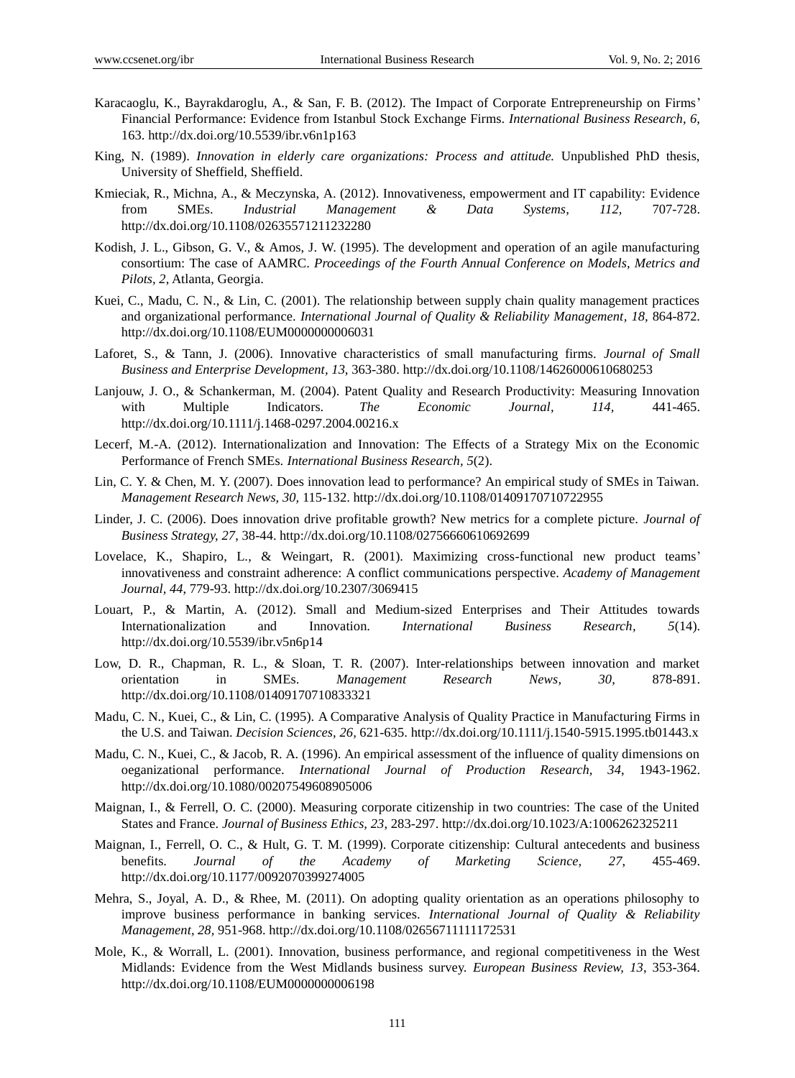- Karacaoglu, K., Bayrakdaroglu, A., & San, F. B. (2012). The Impact of Corporate Entrepreneurship on Firms' Financial Performance: Evidence from Istanbul Stock Exchange Firms. *International Business Research, 6,*  163. <http://dx.doi.org/10.5539/ibr.v6n1p163>
- King, N. (1989). *Innovation in elderly care organizations: Process and attitude.* Unpublished PhD thesis, University of Sheffield, Sheffield.
- Kmieciak, R., Michna, A., & Meczynska, A. (2012). Innovativeness, empowerment and IT capability: Evidence from SMEs. *Industrial Management & Data Systems, 112,* 707-728. <http://dx.doi.org/10.1108/02635571211232280>
- Kodish, J. L., Gibson, G. V., & Amos, J. W. (1995). The development and operation of an agile manufacturing consortium: The case of AAMRC. *Proceedings of the Fourth Annual Conference on Models, Metrics and Pilots, 2*, Atlanta, Georgia.
- Kuei, C., Madu, C. N., & Lin, C. (2001). The relationship between supply chain quality management practices and organizational performance. *International Journal of Quality & Reliability Management*, 18, 864-872. <http://dx.doi.org/10.1108/EUM0000000006031>
- Laforet, S., & Tann, J. (2006). Innovative characteristics of small manufacturing firms. *Journal of Small Business and Enterprise Development, 13*, 363-380. <http://dx.doi.org/10.1108/14626000610680253>
- Lanjouw, J. O., & Schankerman, M. (2004). Patent Quality and Research Productivity: Measuring Innovation with Multiple Indicators. *The Economic Journal, 114,* 441-465. <http://dx.doi.org/10.1111/j.1468-0297.2004.00216.x>
- Lecerf, M.-A. (2012). Internationalization and Innovation: The Effects of a Strategy Mix on the Economic Performance of French SMEs. *International Business Research, 5*(2).
- Lin, C. Y. & Chen, M. Y. (2007). Does innovation lead to performance? An empirical study of SMEs in Taiwan. *Management Research News, 30,* 115-132. <http://dx.doi.org/10.1108/01409170710722955>
- Linder, J. C. (2006). Does innovation drive profitable growth? New metrics for a complete picture. *Journal of Business Strategy, 27*, 38-44. <http://dx.doi.org/10.1108/02756660610692699>
- Lovelace, K., Shapiro, L., & Weingart, R. (2001). Maximizing cross-functional new product teams' innovativeness and constraint adherence: A conflict communications perspective. *Academy of Management Journal, 44*, 779-93. <http://dx.doi.org/10.2307/3069415>
- Louart, P., & Martin, A. (2012). Small and Medium-sized Enterprises and Their Attitudes towards Internationalization and Innovation. *International Business Research, 5*(14). <http://dx.doi.org/10.5539/ibr.v5n6p14>
- Low, D. R., Chapman, R. L., & Sloan, T. R. (2007). Inter-relationships between innovation and market orientation in SMEs. *Management Research News, 30,* 878-891. <http://dx.doi.org/10.1108/01409170710833321>
- Madu, C. N., Kuei, C., & Lin, C. (1995). A Comparative Analysis of Quality Practice in Manufacturing Firms in the U.S. and Taiwan. *Decision Sciences, 26,* 621-635. <http://dx.doi.org/10.1111/j.1540-5915.1995.tb01443.x>
- Madu, C. N., Kuei, C., & Jacob, R. A. (1996). An empirical assessment of the influence of quality dimensions on oeganizational performance. *International Journal of Production Research, 34*, 1943-1962. <http://dx.doi.org/10.1080/00207549608905006>
- Maignan, I., & Ferrell, O. C. (2000). Measuring corporate citizenship in two countries: The case of the United States and France. *Journal of Business Ethics, 23*, 283-297. <http://dx.doi.org/10.1023/A:1006262325211>
- Maignan, I., Ferrell, O. C., & Hult, G. T. M. (1999). Corporate citizenship: Cultural antecedents and business benefits. *Journal of the Academy of Marketing Science, 27*, 455-469. <http://dx.doi.org/10.1177/0092070399274005>
- Mehra, S., Joyal, A. D., & Rhee, M. (2011). On adopting quality orientation as an operations philosophy to improve business performance in banking services. *International Journal of Quality & Reliability Management, 28,* 951-968. <http://dx.doi.org/10.1108/02656711111172531>
- Mole, K., & Worrall, L. (2001). Innovation, business performance, and regional competitiveness in the West Midlands: Evidence from the West Midlands business survey. *European Business Review, 13*, 353-364. <http://dx.doi.org/10.1108/EUM0000000006198>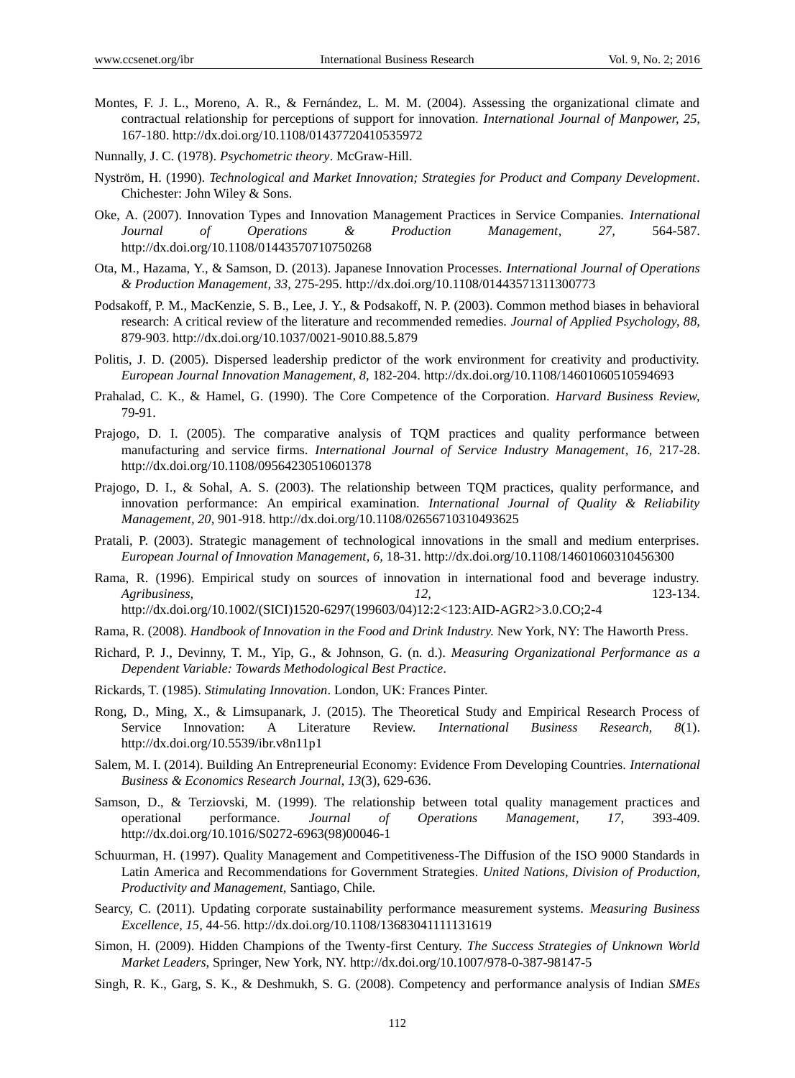- Montes, F. J. L., Moreno, A. R., & Fernández, L. M. M. (2004). Assessing the organizational climate and contractual relationship for perceptions of support for innovation. *International Journal of Manpower, 25,* 167-180. <http://dx.doi.org/10.1108/01437720410535972>
- Nunnally, J. C. (1978). *Psychometric theory*. McGraw-Hill.
- Nyström, H. (1990). *Technological and Market Innovation; Strategies for Product and Company Development.* Chichester: John Wiley & Sons.
- Oke, A. (2007). Innovation Types and Innovation Management Practices in Service Companies. *International Journal of Operations & Production Management, 27,* 564-587. <http://dx.doi.org/10.1108/01443570710750268>
- Ota, M., Hazama, Y., & Samson, D. (2013). Japanese Innovation Processes. *International Journal of Operations & Production Management, 33,* 275-295. <http://dx.doi.org/10.1108/01443571311300773>
- Podsakoff, P. M., MacKenzie, S. B., Lee, J. Y., & Podsakoff, N. P. (2003). Common method biases in behavioral research: A critical review of the literature and recommended remedies. *Journal of Applied Psychology, 88,*  879-903. <http://dx.doi.org/10.1037/0021-9010.88.5.879>
- Politis, J. D. (2005). Dispersed leadership predictor of the work environment for creativity and productivity. *European Journal Innovation Management, 8,* 182-204. <http://dx.doi.org/10.1108/14601060510594693>
- Prahalad, C. K., & Hamel, G. (1990). The Core Competence of the Corporation. *Harvard Business Review,*  79-91.
- Prajogo, D. I. (2005). The comparative analysis of TQM practices and quality performance between manufacturing and service firms. *International Journal of Service Industry Management, 16, 217-28.* <http://dx.doi.org/10.1108/09564230510601378>
- Prajogo, D. I., & Sohal, A. S. (2003). The relationship between TQM practices, quality performance, and innovation performance: An empirical examination. *International Journal of Quality & Reliability Management, 20,* 901-918. <http://dx.doi.org/10.1108/02656710310493625>
- Pratali, P. (2003). Strategic management of technological innovations in the small and medium enterprises. *European Journal of Innovation Management, 6,* 18-31. <http://dx.doi.org/10.1108/14601060310456300>
- Rama, R. (1996). Empirical study on sources of innovation in international food and beverage industry. *Agribusiness, 12,* 123-134. http://dx.doi.org/10.1002/(SICI)1520-6297(199603/04)12:2<123:AID-AGR2>3.0.CO;2-4
- Rama, R. (2008). *Handbook of Innovation in the Food and Drink Industry.* New York, NY: The Haworth Press.
- Richard, P. J., Devinny, T. M., Yip, G., & Johnson, G. (n. d.). *Measuring Organizational Performance as a Dependent Variable: Towards Methodological Best Practice.*
- Rickards, T. (1985). *Stimulating Innovation*. London, UK: Frances Pinter.
- Rong, D., Ming, X., & Limsupanark, J. (2015). The Theoretical Study and Empirical Research Process of Service Innovation: A Literature Review. *International Business Research, 8*(1). <http://dx.doi.org/10.5539/ibr.v8n11p1>
- Salem, M. I. (2014). Building An Entrepreneurial Economy: Evidence From Developing Countries. *International Business & Economics Research Journal, 13*(3), 629-636.
- Samson, D., & Terziovski, M. (1999). The relationship between total quality management practices and operational performance. *Journal of Operations Management, 17*, 393-409. [http://dx.doi.org/10.1016/S0272-6963\(98\)00046-1](http://dx.doi.org/10.1016/S0272-6963(98)00046-1)
- Schuurman, H. (1997). Quality Management and Competitiveness-The Diffusion of the ISO 9000 Standards in Latin America and Recommendations for Government Strategies. *United Nations, Division of Production, Productivity and Management,* Santiago, Chile.
- Searcy, C. (2011). Updating corporate sustainability performance measurement systems. *Measuring Business Excellence, 15,* 44-56. <http://dx.doi.org/10.1108/13683041111131619>
- Simon, H. (2009). Hidden Champions of the Twenty-first Century. *The Success Strategies of Unknown World Market Leaders,* Springer, New York, NY. <http://dx.doi.org/10.1007/978-0-387-98147-5>
- Singh, R. K., Garg, S. K., & Deshmukh, S. G. (2008). Competency and performance analysis of Indian *SMEs*